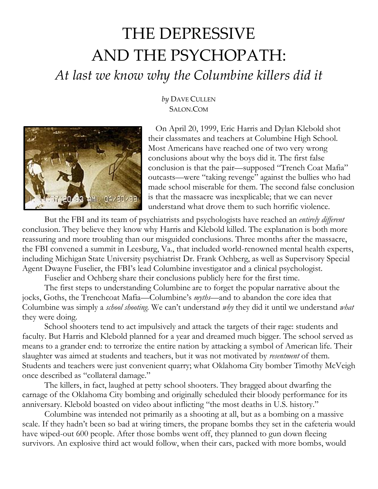## THE DEPRESSIVE AND THE PSYCHOPATH: *At last we know why the Columbine killers did it*



## *by* DAVE C[ULLEN](http://www.slate.com/authors.dave_cullen.html) SALON.COM

On April 20, 1999, Eric Harris and Dylan Klebold shot their classmates and teachers at Columbine High School. Most Americans have reached one of two very wrong conclusions about why the boys did it. The first false conclusion is that the pair—supposed "Trench Coat Mafia" outcasts—were "taking revenge" against the bullies who had made school miserable for them. The second false conclusion is that the massacre was inexplicable; that we can never understand what drove them to such horrific violence.

But the FBI and its team of psychiatrists and psychologists have reached an *entirely different* conclusion. They believe they know why Harris and Klebold killed. The explanation is both more reassuring and more troubling than our misguided conclusions. Three months after the massacre, the FBI convened a summit in Leesburg, Va., that included world-renowned mental health experts, including Michigan State University psychiatrist Dr. Frank Ochberg, as well as Supervisory Special Agent Dwayne Fuselier, the FBI's lead Columbine investigator and a clinical psychologist.

Fuselier and Ochberg share their conclusions publicly here for the first time.

The first steps to understanding Columbine are to forget the popular narrative about the jocks, Goths, the Trenchcoat Mafia—Columbine's *myths—*and to abandon the core idea that Columbine was simply a *school shooting.* We can't understand *why* they did it until we understand *what*  they were doing.

School shooters tend to act impulsively and attack the targets of their rage: students and faculty. But Harris and Klebold planned for a year and dreamed much bigger. The school served as means to a grander end: to terrorize the entire nation by attacking a symbol of American life. Their slaughter was aimed at students and teachers, but it was not motivated by *resentment* of them. Students and teachers were just convenient quarry; what Oklahoma City bomber Timothy McVeigh once described as "collateral damage."

The killers, in fact, laughed at petty school shooters. They bragged about dwarfing the carnage of the Oklahoma City bombing and originally scheduled their bloody performance for its anniversary. Klebold boasted on video about inflicting "the most deaths in U.S. history."

Columbine was intended not primarily as a shooting at all, but as a bombing on a massive scale. If they hadn't been so bad at wiring timers, the propane bombs they set in the cafeteria would have wiped-out 600 people. After those bombs went off, they planned to gun down fleeing survivors. An explosive third act would follow, when their cars, packed with more bombs, would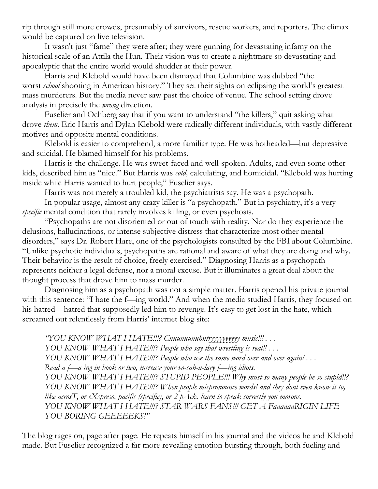rip through still more crowds, presumably of survivors, rescue workers, and reporters. The climax would be captured on live television.

It wasn't just "fame" they were after; they were gunning for devastating infamy on the historical scale of an Attila the Hun. Their vision was to create a nightmare so devastating and apocalyptic that the entire world would shudder at their power.

Harris and Klebold would have been dismayed that Columbine was dubbed "the worst *school* shooting in American history." They set their sights on eclipsing the world's greatest mass murderers. But the media never saw past the choice of venue. The school setting drove analysis in precisely the *wrong* direction.

Fuselier and Ochberg say that if you want to understand "the killers," quit asking what drove *them*. Eric Harris and Dylan Klebold were radically different individuals, with vastly different motives and opposite mental conditions.

Klebold is easier to comprehend, a more familiar type. He was hotheaded—but depressive and suicidal. He blamed himself for his problems.

Harris is the challenge. He was sweet-faced and well-spoken. Adults, and even some other kids, described him as "nice." But Harris was *cold,* calculating, and homicidal. "Klebold was hurting inside while Harris wanted to hurt people," Fuselier says.

Harris was not merely a troubled kid, the psychiatrists say. He was a psychopath.

In popular usage, almost any crazy killer is "a psychopath." But in psychiatry, it's a very *specific* mental condition that rarely involves killing, or even psychosis.

"Psychopaths are not disoriented or out of touch with reality. Nor do they experience the delusions, hallucinations, or intense subjective distress that characterize most other mental disorders," says Dr. Robert Hare, one of the psychologists consulted by the FBI about Columbine. "Unlike psychotic individuals, psychopaths are rational and aware of what they are doing and why. Their behavior is the result of choice, freely exercised." Diagnosing Harris as a psychopath represents neither a legal defense, nor a moral excuse. But it illuminates a great deal about the thought process that drove him to mass murder.

Diagnosing him as a psychopath was not a simple matter. Harris opened his private journal with this sentence: "I hate the f—ing world." And when the media studied Harris, they focused on his hatred—hatred that supposedly led him to revenge. It's easy to get lost in the hate, which screamed out relentlessly from Harris' internet blog site:

*"YOU KNOW WHAT I HATE!!!? Cuuuuuuuuhntryyyyyyyyyy music!!! . . . YOU KNOW WHAT I HATE!!!? People who say that wrestling is real!! . . . YOU KNOW WHAT I HATE!!!? People who use the same word over and over again! . . . Read a f—a ing in book or two, increase your vo-cab-u-lary f—ing idiots. YOU KNOW WHAT I HATE!!!? STUPID PEOPLE!!! Why must so many people be so stupid!!? YOU KNOW WHAT I HATE!!!? When people mispronounce words! and they dont even know it to, like acrosT, or eXspreso, pacific (specific), or 2 pAck. learn to speak correctly you morons. YOU KNOW WHAT I HATE!!!? STAR WARS FANS!!! GET A FaaaaaaRIGIN LIFE YOU BORING GEEEEEKS!"*

The blog rages on, page after page. He repeats himself in his journal and the videos he and Klebold made. But Fuselier recognized a far more revealing emotion bursting through, both fueling and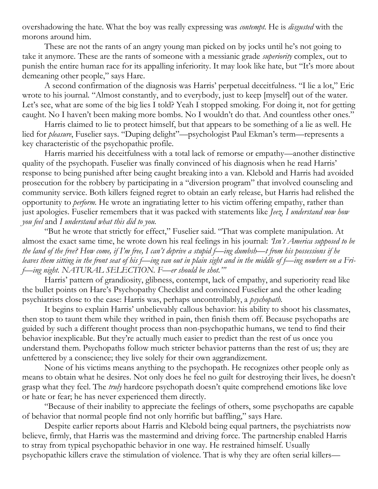overshadowing the hate. What the boy was really expressing was *contempt.* He is *disgusted* with the morons around him.

These are not the rants of an angry young man picked on by jocks until he's not going to take it anymore. These are the rants of someone with a messianic grade *superiority* complex, out to punish the entire human race for its appalling inferiority. It may look like hate, but "It's more about demeaning other people," says Hare.

A second confirmation of the diagnosis was Harris' perpetual deceitfulness. "I lie a lot," Eric wrote to his journal. "Almost constantly, and to everybody, just to keep [myself] out of the water. Let's see, what are some of the big lies I told? Yeah I stopped smoking. For doing it, not for getting caught. No I haven't been making more bombs. No I wouldn't do that. And countless other ones."

Harris claimed to lie to protect himself, but that appears to be something of a lie as well. He lied for *pleasure*, Fuselier says. "Duping delight"—psychologist Paul Ekman's term—represents a key characteristic of the psychopathic profile.

Harris married his deceitfulness with a total lack of remorse or empathy—another distinctive quality of the psychopath. Fuselier was finally convinced of his diagnosis when he read Harris' response to being punished after being caught breaking into a van. Klebold and Harris had avoided prosecution for the robbery by participating in a "diversion program" that involved counseling and community service. Both killers feigned regret to obtain an early release, but Harris had relished the opportunity to *perform.* He wrote an ingratiating letter to his victim offering empathy, rather than just apologies. Fuselier remembers that it was packed with statements like *Jeez, I understand now how you feel* and *I understand what this did to you.*

"But he wrote that strictly for effect," Fuselier said. "That was complete manipulation. At almost the exact same time, he wrote down his real feelings in his journal: *'Isn't America supposed to be the land of the free? How come, if I'm free, I can't deprive a stupid f—ing dumbsh—t from his possessions if he leaves them sitting in the front seat of his f—ing van out in plain sight and in the middle of f—ing nowhere on a Frif—ing night. NATURAL SELECTION. F—er should be shot.'"*

Harris' pattern of grandiosity, glibness, contempt, lack of empathy, and superiority read like the bullet points on Hare's Psychopathy Checklist and convinced Fuselier and the other leading psychiatrists close to the case: Harris was, perhaps uncontrollably, a *psychopath.*

It begins to explain Harris' unbelievably callous behavior: his ability to shoot his classmates, then stop to taunt them while they writhed in pain, then finish them off. Because psychopaths are guided by such a different thought process than non-psychopathic humans, we tend to find their behavior inexplicable. But they're actually much easier to predict than the rest of us once you understand them. Psychopaths follow much stricter behavior patterns than the rest of us; they are unfettered by a conscience; they live solely for their own aggrandizement.

None of his victims means anything to the psychopath. He recognizes other people only as means to obtain what he desires. Not only does he feel no guilt for destroying their lives, he doesn't grasp what they feel. The *truly* hardcore psychopath doesn't quite comprehend emotions like love or hate or fear; he has never experienced them directly.

"Because of their inability to appreciate the feelings of others, some psychopaths are capable of behavior that normal people find not only horrific but baffling," says Hare.

Despite earlier reports about Harris and Klebold being equal partners, the psychiatrists now believe, firmly, that Harris was the mastermind and driving force. The partnership enabled Harris to stray from typical psychopathic behavior in one way. He restrained himself. Usually psychopathic killers crave the stimulation of violence. That is why they are often serial killers